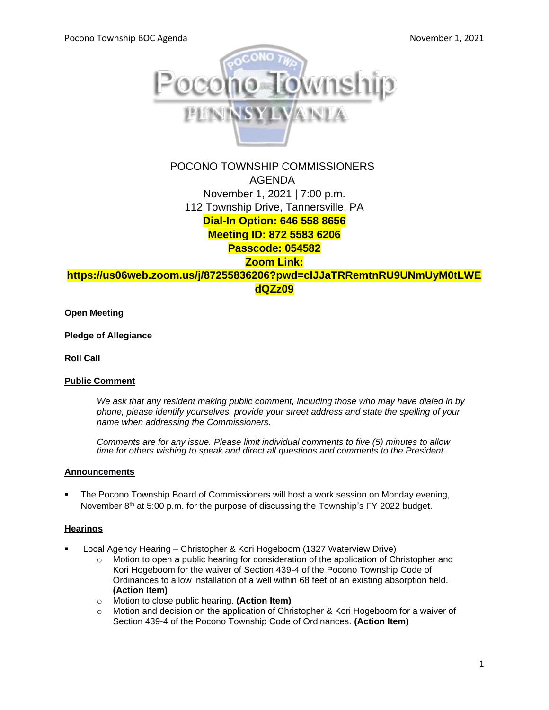

# POCONO TOWNSHIP COMMISSIONERS AGENDA November 1, 2021 | 7:00 p.m. 112 Township Drive, Tannersville, PA **Dial-In Option: 646 558 8656 Meeting ID: 872 5583 6206 Passcode: 054582 Zoom Link:**

**[https://us06web.zoom.us/j/87255836206?pwd=clJJaTRRemtnRU9UNmUyM0tLWE](https://us06web.zoom.us/j/87255836206?pwd=clJJaTRRemtnRU9UNmUyM0tLWEdQZz09) [dQZz09](https://us06web.zoom.us/j/87255836206?pwd=clJJaTRRemtnRU9UNmUyM0tLWEdQZz09)**

**Open Meeting**

**Pledge of Allegiance**

**Roll Call**

#### **Public Comment**

*We ask that any resident making public comment, including those who may have dialed in by phone, please identify yourselves, provide your street address and state the spelling of your name when addressing the Commissioners.*

*Comments are for any issue. Please limit individual comments to five (5) minutes to allow time for others wishing to speak and direct all questions and comments to the President.* 

#### **Announcements**

The Pocono Township Board of Commissioners will host a work session on Monday evening, November  $8<sup>th</sup>$  at 5:00 p.m. for the purpose of discussing the Township's FY 2022 budget.

#### **Hearings**

- Local Agency Hearing Christopher & Kori Hogeboom (1327 Waterview Drive)
	- o Motion to open a public hearing for consideration of the application of Christopher and Kori Hogeboom for the waiver of Section 439-4 of the Pocono Township Code of Ordinances to allow installation of a well within 68 feet of an existing absorption field. **(Action Item)**
	- o Motion to close public hearing. **(Action Item)**
	- $\circ$  Motion and decision on the application of Christopher & Kori Hogeboom for a waiver of Section 439-4 of the Pocono Township Code of Ordinances. **(Action Item)**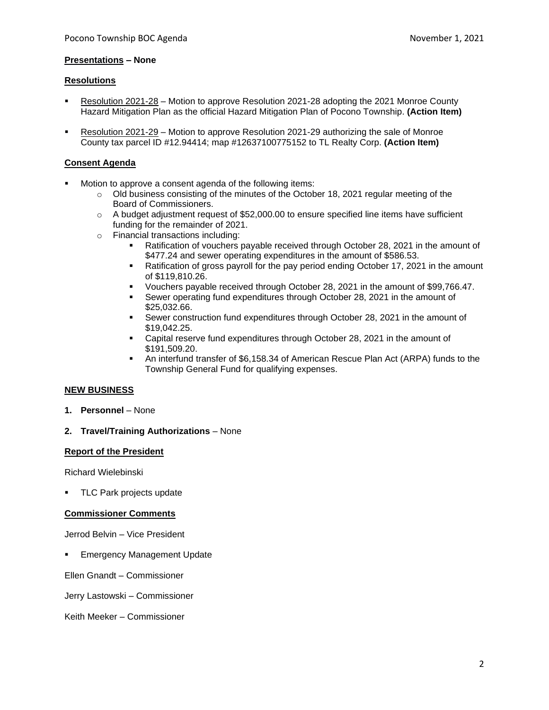#### **Presentations – None**

#### **Resolutions**

- Resolution 2021-28 Motion to approve Resolution 2021-28 adopting the 2021 Monroe County Hazard Mitigation Plan as the official Hazard Mitigation Plan of Pocono Township. **(Action Item)**
- Resolution 2021-29 Motion to approve Resolution 2021-29 authorizing the sale of Monroe County tax parcel ID #12.94414; map #12637100775152 to TL Realty Corp. **(Action Item)**

#### **Consent Agenda**

- Motion to approve a consent agenda of the following items:
	- $\circ$  Old business consisting of the minutes of the October 18, 2021 regular meeting of the Board of Commissioners.
	- $\circ$  A budget adjustment request of \$52,000.00 to ensure specified line items have sufficient funding for the remainder of 2021.
	- o Financial transactions including:
		- Ratification of vouchers payable received through October 28, 2021 in the amount of \$477.24 and sewer operating expenditures in the amount of \$586.53.
		- Ratification of gross payroll for the pay period ending October 17, 2021 in the amount of \$119,810.26.
		- Vouchers payable received through October 28, 2021 in the amount of \$99,766.47.
		- Sewer operating fund expenditures through October 28, 2021 in the amount of \$25,032.66.
		- Sewer construction fund expenditures through October 28, 2021 in the amount of \$19,042.25.
		- Capital reserve fund expenditures through October 28, 2021 in the amount of \$191,509.20.
		- An interfund transfer of \$6,158.34 of American Rescue Plan Act (ARPA) funds to the Township General Fund for qualifying expenses.

## **NEW BUSINESS**

**1. Personnel** – None

## **2. Travel/Training Authorizations** – None

#### **Report of the President**

Richard Wielebinski

TLC Park projects update

## **Commissioner Comments**

Jerrod Belvin – Vice President

**Emergency Management Update** 

Ellen Gnandt – Commissioner

Jerry Lastowski – Commissioner

Keith Meeker – Commissioner